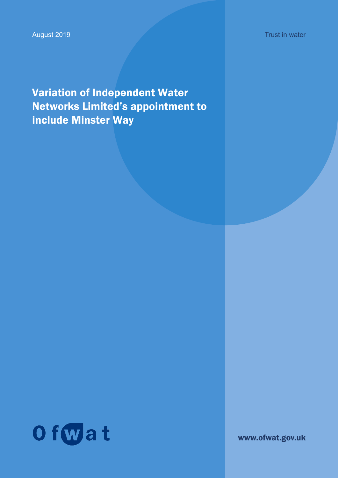Trust in water

August 2019

Variation of Independent Water Networks Limited's appointment to include Minster Way



www.ofwat.gov.uk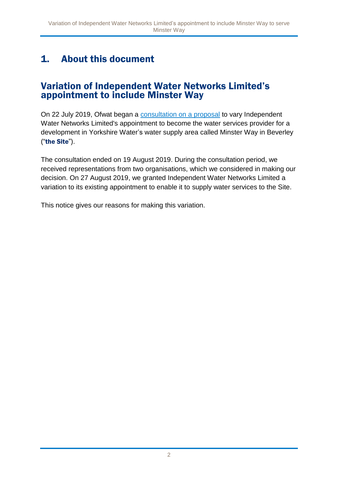# 1. About this document

#### Variation of Independent Water Networks Limited's appointment to include Minster Way

On 22 July 2019, Ofwat began a [consultation on a proposal](https://www.ofwat.gov.uk/consultation/proposal-to-grant-a-variation-of-appointment-to-independent-water-networks-limited-to-enable-it-to-provide-water-services-to-a-site-called-minster-way-beverley-yorkshire/) to vary Independent Water Networks Limited's appointment to become the water services provider for a development in Yorkshire Water's water supply area called Minster Way in Beverley ("the Site").

The consultation ended on 19 August 2019. During the consultation period, we received representations from two organisations, which we considered in making our decision. On 27 August 2019, we granted Independent Water Networks Limited a variation to its existing appointment to enable it to supply water services to the Site.

This notice gives our reasons for making this variation.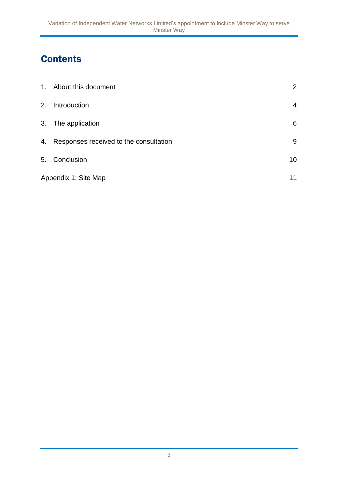# **Contents**

|                      | 1. About this document                    | $\overline{2}$  |
|----------------------|-------------------------------------------|-----------------|
| 2.                   | Introduction                              | $\overline{4}$  |
|                      | 3. The application                        | 6               |
|                      | 4. Responses received to the consultation | 9               |
|                      | 5. Conclusion                             | 10 <sup>°</sup> |
| Appendix 1: Site Map |                                           | 11              |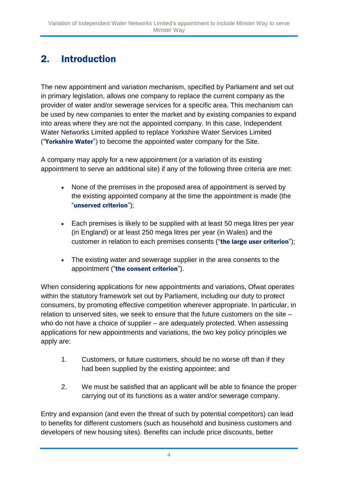# 2. Introduction

The new appointment and variation mechanism, specified by Parliament and set out in primary legislation, allows one company to replace the current company as the provider of water and/or sewerage services for a specific area. This mechanism can be used by new companies to enter the market and by existing companies to expand into areas where they are not the appointed company. In this case, Independent Water Networks Limited applied to replace Yorkshire Water Services Limited ("Yorkshire Water") to become the appointed water company for the Site.

A company may apply for a new appointment (or a variation of its existing appointment to serve an additional site) if any of the following three criteria are met:

- None of the premises in the proposed area of appointment is served by the existing appointed company at the time the appointment is made (the "unserved criterion");
- Each premises is likely to be supplied with at least 50 mega litres per year (in England) or at least 250 mega litres per year (in Wales) and the customer in relation to each premises consents ("the large user criterion");
- The existing water and sewerage supplier in the area consents to the appointment ("the consent criterion").

When considering applications for new appointments and variations, Ofwat operates within the statutory framework set out by Parliament, including our duty to protect consumers, by promoting effective competition wherever appropriate. In particular, in relation to unserved sites, we seek to ensure that the future customers on the site – who do not have a choice of supplier – are adequately protected. When assessing applications for new appointments and variations, the two key policy principles we apply are:

- 1. Customers, or future customers, should be no worse off than if they had been supplied by the existing appointee; and
- 2. We must be satisfied that an applicant will be able to finance the proper carrying out of its functions as a water and/or sewerage company.

Entry and expansion (and even the threat of such by potential competitors) can lead to benefits for different customers (such as household and business customers and developers of new housing sites). Benefits can include price discounts, better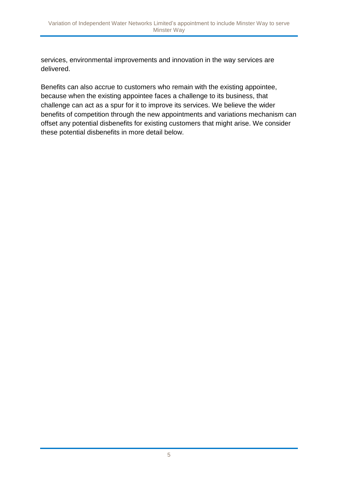services, environmental improvements and innovation in the way services are delivered.

Benefits can also accrue to customers who remain with the existing appointee, because when the existing appointee faces a challenge to its business, that challenge can act as a spur for it to improve its services. We believe the wider benefits of competition through the new appointments and variations mechanism can offset any potential disbenefits for existing customers that might arise. We consider these potential disbenefits in more detail below.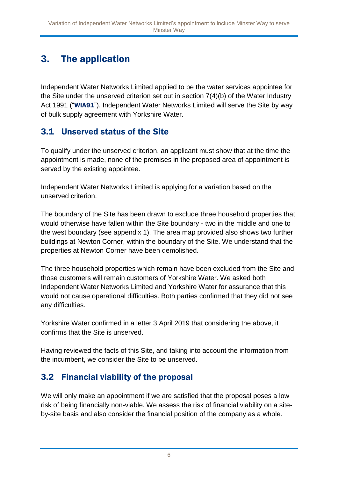# 3. The application

Independent Water Networks Limited applied to be the water services appointee for the Site under the unserved criterion set out in section 7(4)(b) of the Water Industry Act 1991 ("WIA91"). Independent Water Networks Limited will serve the Site by way of bulk supply agreement with Yorkshire Water.

### 3.1 Unserved status of the Site

To qualify under the unserved criterion, an applicant must show that at the time the appointment is made, none of the premises in the proposed area of appointment is served by the existing appointee.

Independent Water Networks Limited is applying for a variation based on the unserved criterion.

The boundary of the Site has been drawn to exclude three household properties that would otherwise have fallen within the Site boundary - two in the middle and one to the west boundary (see appendix 1). The area map provided also shows two further buildings at Newton Corner, within the boundary of the Site. We understand that the properties at Newton Corner have been demolished.

The three household properties which remain have been excluded from the Site and those customers will remain customers of Yorkshire Water. We asked both Independent Water Networks Limited and Yorkshire Water for assurance that this would not cause operational difficulties. Both parties confirmed that they did not see any difficulties.

Yorkshire Water confirmed in a letter 3 April 2019 that considering the above, it confirms that the Site is unserved.

Having reviewed the facts of this Site, and taking into account the information from the incumbent, we consider the Site to be unserved.

### 3.2 Financial viability of the proposal

We will only make an appointment if we are satisfied that the proposal poses a low risk of being financially non-viable. We assess the risk of financial viability on a siteby-site basis and also consider the financial position of the company as a whole.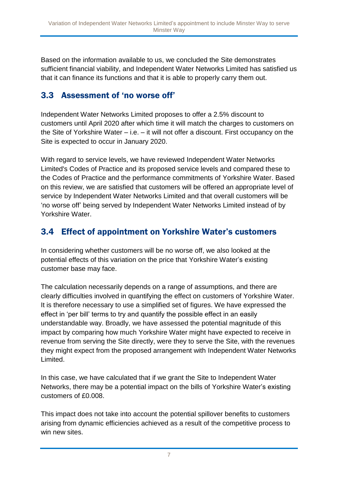Based on the information available to us, we concluded the Site demonstrates sufficient financial viability, and Independent Water Networks Limited has satisfied us that it can finance its functions and that it is able to properly carry them out.

#### 3.3 Assessment of 'no worse off'

Independent Water Networks Limited proposes to offer a 2.5% discount to customers until April 2020 after which time it will match the charges to customers on the Site of Yorkshire Water – i.e. – it will not offer a discount. First occupancy on the Site is expected to occur in January 2020.

With regard to service levels, we have reviewed Independent Water Networks Limited's Codes of Practice and its proposed service levels and compared these to the Codes of Practice and the performance commitments of Yorkshire Water. Based on this review, we are satisfied that customers will be offered an appropriate level of service by Independent Water Networks Limited and that overall customers will be 'no worse off' being served by Independent Water Networks Limited instead of by Yorkshire Water.

### 3.4 Effect of appointment on Yorkshire Water's customers

In considering whether customers will be no worse off, we also looked at the potential effects of this variation on the price that Yorkshire Water's existing customer base may face.

The calculation necessarily depends on a range of assumptions, and there are clearly difficulties involved in quantifying the effect on customers of Yorkshire Water. It is therefore necessary to use a simplified set of figures. We have expressed the effect in 'per bill' terms to try and quantify the possible effect in an easily understandable way. Broadly, we have assessed the potential magnitude of this impact by comparing how much Yorkshire Water might have expected to receive in revenue from serving the Site directly, were they to serve the Site, with the revenues they might expect from the proposed arrangement with Independent Water Networks Limited.

In this case, we have calculated that if we grant the Site to Independent Water Networks, there may be a potential impact on the bills of Yorkshire Water's existing customers of £0.008.

This impact does not take into account the potential spillover benefits to customers arising from dynamic efficiencies achieved as a result of the competitive process to win new sites.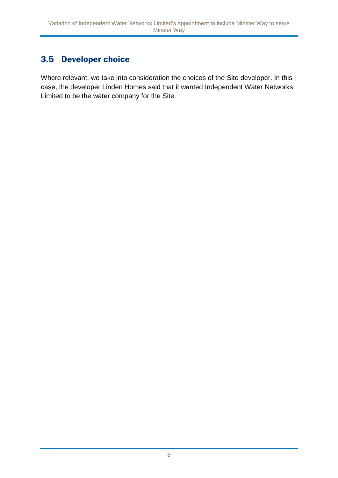### 3.5 Developer choice

Where relevant, we take into consideration the choices of the Site developer. In this case, the developer Linden Homes said that it wanted Independent Water Networks Limited to be the water company for the Site.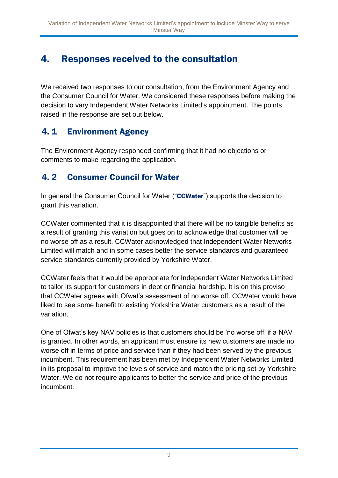### 4. Responses received to the consultation

We received two responses to our consultation, from the Environment Agency and the Consumer Council for Water. We considered these responses before making the decision to vary Independent Water Networks Limited's appointment. The points raised in the response are set out below.

#### 4. 1 Environment Agency

The Environment Agency responded confirming that it had no objections or comments to make regarding the application.

### 4. 2 Consumer Council for Water

In general the Consumer Council for Water ("**CCWater**") supports the decision to grant this variation.

CCWater commented that it is disappointed that there will be no tangible benefits as a result of granting this variation but goes on to acknowledge that customer will be no worse off as a result. CCWater acknowledged that Independent Water Networks Limited will match and in some cases better the service standards and guaranteed service standards currently provided by Yorkshire Water.

CCWater feels that it would be appropriate for Independent Water Networks Limited to tailor its support for customers in debt or financial hardship. It is on this proviso that CCWater agrees with Ofwat's assessment of no worse off. CCWater would have liked to see some benefit to existing Yorkshire Water customers as a result of the variation.

One of Ofwat's key NAV policies is that customers should be 'no worse off' if a NAV is granted. In other words, an applicant must ensure its new customers are made no worse off in terms of price and service than if they had been served by the previous incumbent. This requirement has been met by Independent Water Networks Limited in its proposal to improve the levels of service and match the pricing set by Yorkshire Water. We do not require applicants to better the service and price of the previous incumbent.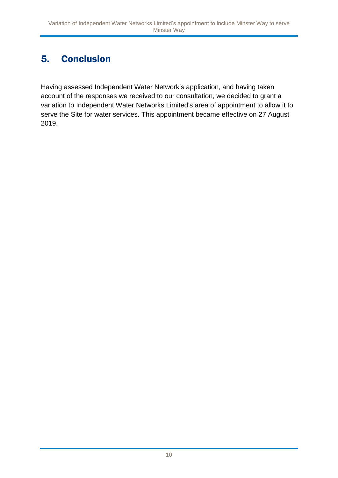## 5. Conclusion

Having assessed Independent Water Network's application, and having taken account of the responses we received to our consultation, we decided to grant a variation to Independent Water Networks Limited's area of appointment to allow it to serve the Site for water services. This appointment became effective on 27 August 2019.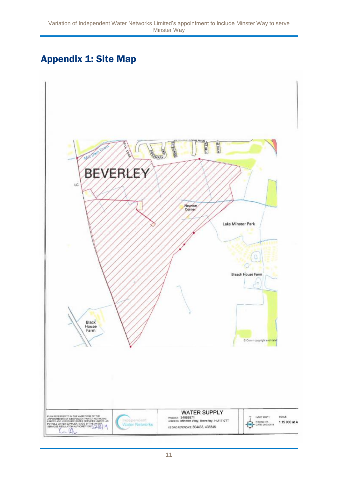### Appendix 1: Site Map